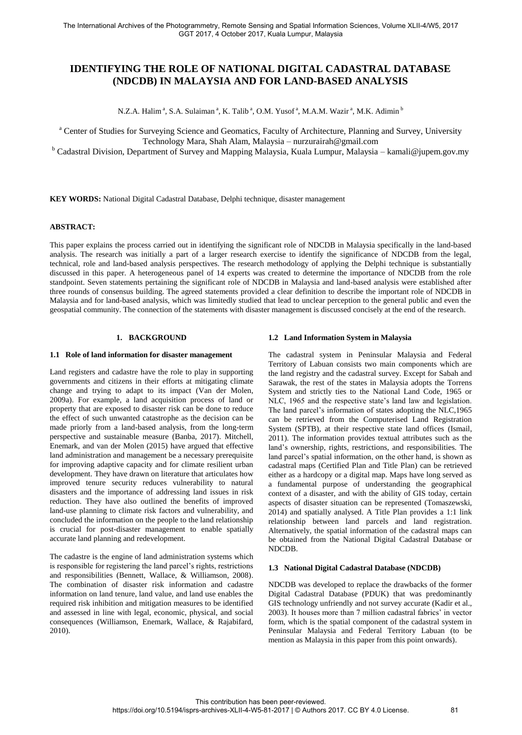# **IDENTIFYING THE ROLE OF NATIONAL DIGITAL CADASTRAL DATABASE (NDCDB) IN MALAYSIA AND FOR LAND-BASED ANALYSIS**

N.Z.A. Halim<sup>a</sup>, S.A. Sulaiman<sup>a</sup>, K. Talib<sup>a</sup>, O.M. Yusof<sup>a</sup>, M.A.M. Wazir<sup>a</sup>, M.K. Adimin<sup>b</sup>

<sup>a</sup> Center of Studies for Surveying Science and Geomatics, Faculty of Architecture, Planning and Survey, University Technology Mara, Shah Alam, Malaysia – nurzurairah@gmail.com

<sup>b</sup> Cadastral Division, Department of Survey and Mapping Malaysia, Kuala Lumpur, Malaysia – kamali@jupem.gov.my

**KEY WORDS:** National Digital Cadastral Database, Delphi technique, disaster management

## **ABSTRACT:**

This paper explains the process carried out in identifying the significant role of NDCDB in Malaysia specifically in the land-based analysis. The research was initially a part of a larger research exercise to identify the significance of NDCDB from the legal, technical, role and land-based analysis perspectives. The research methodology of applying the Delphi technique is substantially discussed in this paper. A heterogeneous panel of 14 experts was created to determine the importance of NDCDB from the role standpoint. Seven statements pertaining the significant role of NDCDB in Malaysia and land-based analysis were established after three rounds of consensus building. The agreed statements provided a clear definition to describe the important role of NDCDB in Malaysia and for land-based analysis, which was limitedly studied that lead to unclear perception to the general public and even the geospatial community. The connection of the statements with disaster management is discussed concisely at the end of the research.

#### **1. BACKGROUND**

#### **1.1 Role of land information for disaster management**

Land registers and cadastre have the role to play in supporting governments and citizens in their efforts at mitigating climate change and trying to adapt to its impact (Van der Molen, 2009a). For example, a land acquisition process of land or property that are exposed to disaster risk can be done to reduce the effect of such unwanted catastrophe as the decision can be made priorly from a land-based analysis, from the long-term perspective and sustainable measure (Banba, 2017). Mitchell, Enemark, and van der Molen (2015) have argued that effective land administration and management be a necessary prerequisite for improving adaptive capacity and for climate resilient urban development. They have drawn on literature that articulates how improved tenure security reduces vulnerability to natural disasters and the importance of addressing land issues in risk reduction. They have also outlined the benefits of improved land-use planning to climate risk factors and vulnerability, and concluded the information on the people to the land relationship is crucial for post-disaster management to enable spatially accurate land planning and redevelopment.

The cadastre is the engine of land administration systems which is responsible for registering the land parcel's rights, restrictions and responsibilities (Bennett, Wallace, & Williamson, 2008). The combination of disaster risk information and cadastre information on land tenure, land value, and land use enables the required risk inhibition and mitigation measures to be identified and assessed in line with legal, economic, physical, and social consequences (Williamson, Enemark, Wallace, & Rajabifard, 2010).

#### **1.2 Land Information System in Malaysia**

The cadastral system in Peninsular Malaysia and Federal Territory of Labuan consists two main components which are the land registry and the cadastral survey. Except for Sabah and Sarawak, the rest of the states in Malaysia adopts the Torrens System and strictly ties to the National Land Code, 1965 or NLC, 1965 and the respective state's land law and legislation. The land parcel's information of states adopting the NLC,1965 can be retrieved from the Computerised Land Registration System (SPTB), at their respective state land offices (Ismail, 2011). The information provides textual attributes such as the land's ownership, rights, restrictions, and responsibilities. The land parcel's spatial information, on the other hand, is shown as cadastral maps (Certified Plan and Title Plan) can be retrieved either as a hardcopy or a digital map. Maps have long served as a fundamental purpose of understanding the geographical context of a disaster, and with the ability of GIS today, certain aspects of disaster situation can be represented (Tomaszewski, 2014) and spatially analysed. A Title Plan provides a 1:1 link relationship between land parcels and land registration. Alternatively, the spatial information of the cadastral maps can be obtained from the National Digital Cadastral Database or NDCDB.

#### **1.3 National Digital Cadastral Database (NDCDB)**

NDCDB was developed to replace the drawbacks of the former Digital Cadastral Database (PDUK) that was predominantly GIS technology unfriendly and not survey accurate (Kadir et al., 2003). It houses more than 7 million cadastral fabrics' in vector form, which is the spatial component of the cadastral system in Peninsular Malaysia and Federal Territory Labuan (to be mention as Malaysia in this paper from this point onwards).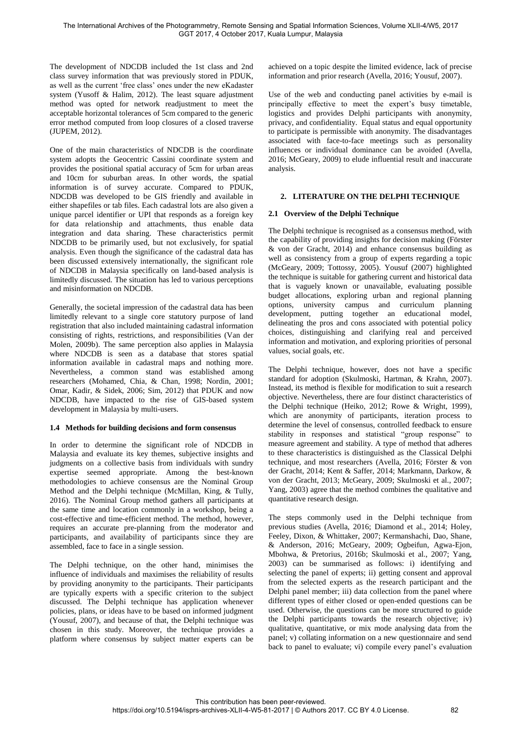The development of NDCDB included the 1st class and 2nd class survey information that was previously stored in PDUK, as well as the current 'free class' ones under the new eKadaster system (Yusoff & Halim, 2012). The least square adjustment method was opted for network readjustment to meet the acceptable horizontal tolerances of 5cm compared to the generic error method computed from loop closures of a closed traverse (JUPEM, 2012).

One of the main characteristics of NDCDB is the coordinate system adopts the Geocentric Cassini coordinate system and provides the positional spatial accuracy of 5cm for urban areas and 10cm for suburban areas. In other words, the spatial information is of survey accurate. Compared to PDUK, NDCDB was developed to be GIS friendly and available in either shapefiles or tab files. Each cadastral lots are also given a unique parcel identifier or UPI that responds as a foreign key for data relationship and attachments, thus enable data integration and data sharing. These characteristics permit NDCDB to be primarily used, but not exclusively, for spatial analysis. Even though the significance of the cadastral data has been discussed extensively internationally, the significant role of NDCDB in Malaysia specifically on land-based analysis is limitedly discussed. The situation has led to various perceptions and misinformation on NDCDB.

Generally, the societal impression of the cadastral data has been limitedly relevant to a single core statutory purpose of land registration that also included maintaining cadastral information consisting of rights, restrictions, and responsibilities (Van der Molen, 2009b). The same perception also applies in Malaysia where NDCDB is seen as a database that stores spatial information available in cadastral maps and nothing more. Nevertheless, a common stand was established among researchers (Mohamed, Chia, & Chan, 1998; Nordin, 2001; Omar, Kadir, & Sidek, 2006; Sim, 2012) that PDUK and now NDCDB, have impacted to the rise of GIS-based system development in Malaysia by multi-users.

## **1.4 Methods for building decisions and form consensus**

In order to determine the significant role of NDCDB in Malaysia and evaluate its key themes, subjective insights and judgments on a collective basis from individuals with sundry expertise seemed appropriate. Among the best-known methodologies to achieve consensus are the Nominal Group Method and the Delphi technique (McMillan, King, & Tully, 2016). The Nominal Group method gathers all participants at the same time and location commonly in a workshop, being a cost-effective and time-efficient method. The method, however, requires an accurate pre-planning from the moderator and participants, and availability of participants since they are assembled, face to face in a single session.

The Delphi technique, on the other hand, minimises the influence of individuals and maximises the reliability of results by providing anonymity to the participants. Their participants are typically experts with a specific criterion to the subject discussed. The Delphi technique has application whenever policies, plans, or ideas have to be based on informed judgment (Yousuf, 2007), and because of that, the Delphi technique was chosen in this study. Moreover, the technique provides a platform where consensus by subject matter experts can be

achieved on a topic despite the limited evidence, lack of precise information and prior research (Avella, 2016; Yousuf, 2007).

Use of the web and conducting panel activities by e-mail is principally effective to meet the expert's busy timetable, logistics and provides Delphi participants with anonymity, privacy, and confidentiality. Equal status and equal opportunity to participate is permissible with anonymity. The disadvantages associated with face-to-face meetings such as personality influences or individual dominance can be avoided (Avella, 2016; McGeary, 2009) to elude influential result and inaccurate analysis.

#### **2. LITERATURE ON THE DELPHI TECHNIQUE**

#### **2.1 Overview of the Delphi Technique**

The Delphi technique is recognised as a consensus method, with the capability of providing insights for decision making (Förster & von der Gracht, 2014) and enhance consensus building as well as consistency from a group of experts regarding a topic (McGeary, 2009; Tottossy, 2005). Yousuf (2007) highlighted the technique is suitable for gathering current and historical data that is vaguely known or unavailable, evaluating possible budget allocations, exploring urban and regional planning options, university campus and curriculum planning development, putting together an educational model, delineating the pros and cons associated with potential policy choices, distinguishing and clarifying real and perceived information and motivation, and exploring priorities of personal values, social goals, etc.

The Delphi technique, however, does not have a specific standard for adoption (Skulmoski, Hartman, & Krahn, 2007). Instead, its method is flexible for modification to suit a research objective. Nevertheless, there are four distinct characteristics of the Delphi technique (Heiko, 2012; Rowe & Wright, 1999), which are anonymity of participants, iteration process to determine the level of consensus, controlled feedback to ensure stability in responses and statistical "group response" to measure agreement and stability. A type of method that adheres to these characteristics is distinguished as the Classical Delphi technique, and most researchers (Avella, 2016; Förster & von der Gracht, 2014; Kent & Saffer, 2014; Markmann, Darkow, & von der Gracht, 2013; McGeary, 2009; Skulmoski et al., 2007; Yang, 2003) agree that the method combines the qualitative and quantitative research design.

The steps commonly used in the Delphi technique from previous studies (Avella, 2016; Diamond et al., 2014; Holey, Feeley, Dixon, & Whittaker, 2007; Kermanshachi, Dao, Shane, & Anderson, 2016; McGeary, 2009; Ogbeifun, Agwa-Ejon, Mbohwa, & Pretorius, 2016b; Skulmoski et al., 2007; Yang, 2003) can be summarised as follows: i) identifying and selecting the panel of experts; ii) getting consent and approval from the selected experts as the research participant and the Delphi panel member; iii) data collection from the panel where different types of either closed or open-ended questions can be used. Otherwise, the questions can be more structured to guide the Delphi participants towards the research objective; iv) qualitative, quantitative, or mix mode analysing data from the panel; v) collating information on a new questionnaire and send back to panel to evaluate; vi) compile every panel's evaluation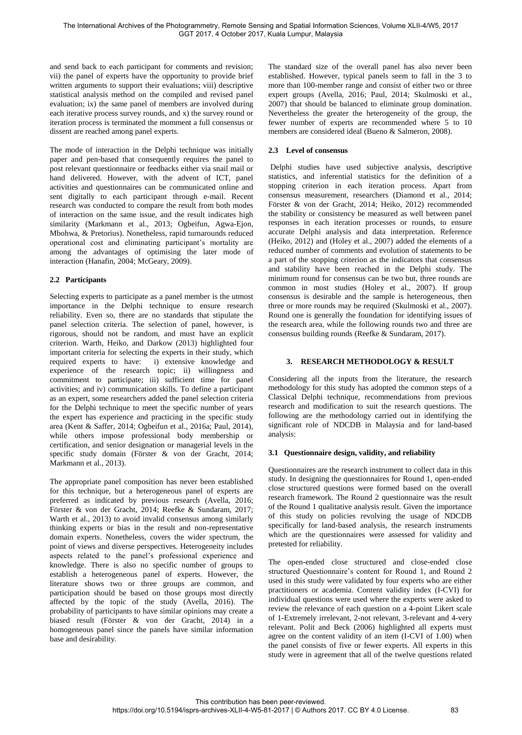and send back to each participant for comments and revision; vii) the panel of experts have the opportunity to provide brief written arguments to support their evaluations; viii) descriptive statistical analysis method on the compiled and revised panel evaluation; ix) the same panel of members are involved during each iterative process survey rounds, and x) the survey round or iteration process is terminated the momment a full consensus or dissent are reached among panel experts.

The mode of interaction in the Delphi technique was initially paper and pen-based that consequently requires the panel to post relevant questionnaire or feedbacks either via snail mail or hand delivered. However, with the advent of ICT, panel activities and questionnaires can be communicated online and sent digitally to each participant through e-mail. Recent research was conducted to compare the result from both modes of interaction on the same issue, and the result indicates high similarity (Markmann et al., 2013; Ogbeifun, Agwa-Ejon, Mbohwa, & Pretorius). Nonetheless, rapid turnarounds reduced operational cost and eliminating participant's mortality are among the advantages of optimising the later mode of interaction (Hanafin, 2004; McGeary, 2009).

# **2.2 Participants**

Selecting experts to participate as a panel member is the utmost importance in the Delphi technique to ensure research reliability. Even so, there are no standards that stipulate the panel selection criteria. The selection of panel, however, is rigorous, should not be random, and must have an explicit criterion. Warth, Heiko, and Darkow (2013) highlighted four important criteria for selecting the experts in their study, which required experts to have: i) extensive knowledge and experience of the research topic; ii) willingness and commitment to participate; iii) sufficient time for panel activities; and iv) communication skills. To define a participant as an expert, some researchers added the panel selection criteria for the Delphi technique to meet the specific number of years the expert has experience and practicing in the specific study area (Kent & Saffer, 2014; Ogbeifun et al., 2016a; Paul, 2014), while others impose professional body membership or certification, and senior designation or managerial levels in the specific study domain (Förster & von der Gracht, 2014; Markmann et al., 2013).

The appropriate panel composition has never been established for this technique, but a heterogeneous panel of experts are preferred as indicated by previous research (Avella, 2016; Förster & von der Gracht, 2014; Reefke & Sundaram, 2017; Warth et al., 2013) to avoid invalid consensus among similarly thinking experts or bias in the result and non-representative domain experts. Nonetheless, covers the wider spectrum, the point of views and diverse perspectives. Heterogeneity includes aspects related to the panel's professional experience and knowledge. There is also no specific number of groups to establish a heterogeneous panel of experts. However, the literature shows two or three groups are common, and participation should be based on those groups most directly affected by the topic of the study (Avella, 2016). The probability of participants to have similar opinions may create a biased result (Förster & von der Gracht, 2014) in a homogeneous panel since the panels have similar information base and desirability.

The standard size of the overall panel has also never been established. However, typical panels seem to fall in the 3 to more than 100-member range and consist of either two or three expert groups (Avella, 2016; Paul, 2014; Skulmoski et al., 2007) that should be balanced to eliminate group domination. Nevertheless the greater the heterogeneity of the group, the fewer number of experts are recommended where 5 to 10 members are considered ideal (Bueno & Salmeron, 2008).

# **2.3 Level of consensus**

 Delphi studies have used subjective analysis, descriptive statistics, and inferential statistics for the definition of a stopping criterion in each iteration process. Apart from consensus measurement, researchers (Diamond et al., 2014; Förster & von der Gracht, 2014; Heiko, 2012) recommended the stability or consistency be measured as well between panel responses in each iteration processes or rounds, to ensure accurate Delphi analysis and data interpretation. Reference (Heiko, 2012) and (Holey et al., 2007) added the elements of a reduced number of comments and evolution of statements to be a part of the stopping criterion as the indicators that consensus and stability have been reached in the Delphi study. The minimum round for consensus can be two but, three rounds are common in most studies (Holey et al., 2007). If group consensus is desirable and the sample is heterogeneous, then three or more rounds may be required (Skulmoski et al., 2007). Round one is generally the foundation for identifying issues of the research area, while the following rounds two and three are consensus building rounds (Reefke & Sundaram, 2017).

# **3. RESEARCH METHODOLOGY & RESULT**

Considering all the inputs from the literature, the research methodology for this study has adopted the common steps of a Classical Delphi technique, recommendations from previous research and modification to suit the research questions. The following are the methodology carried out in identifying the significant role of NDCDB in Malaysia and for land-based analysis:

## **3.1 Questionnaire design, validity, and reliability**

Questionnaires are the research instrument to collect data in this study. In designing the questionnaires for Round 1, open-ended close structured questions were formed based on the overall research framework. The Round 2 questionnaire was the result of the Round 1 qualitative analysis result. Given the importance of this study on policies revolving the usage of NDCDB specifically for land-based analysis, the research instruments which are the questionnaires were assessed for validity and pretested for reliability.

The open-ended close structured and close-ended close structured Questionnaire's content for Round 1, and Round 2 used in this study were validated by four experts who are either practitioners or academia. Content validity index (I-CVI) for individual questions were used where the experts were asked to review the relevance of each question on a 4-point Likert scale of 1-Extremely irrelevant, 2-not relevant, 3-relevant and 4-very relevant. Polit and Beck (2006) highlighted all experts must agree on the content validity of an item (I-CVI of 1.00) when the panel consists of five or fewer experts. All experts in this study were in agreement that all of the twelve questions related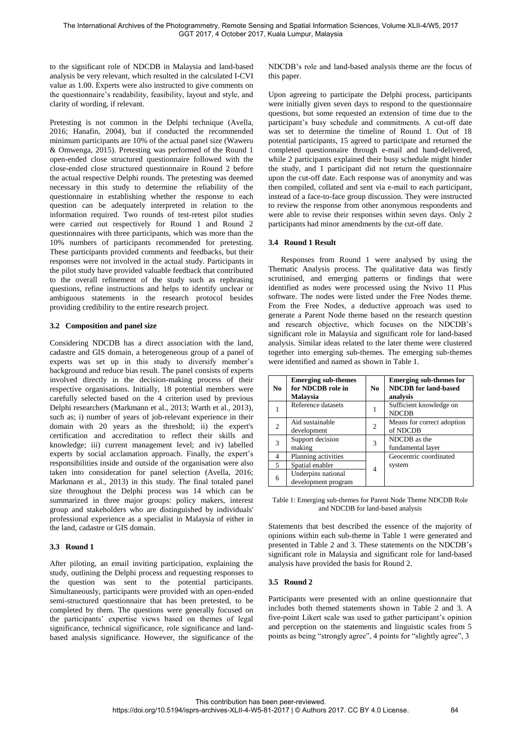to the significant role of NDCDB in Malaysia and land-based analysis be very relevant, which resulted in the calculated I-CVI value as 1.00. Experts were also instructed to give comments on the questionnaire's readability, feasibility, layout and style, and clarity of wording, if relevant.

Pretesting is not common in the Delphi technique (Avella, 2016; Hanafin, 2004), but if conducted the recommended minimum participants are 10% of the actual panel size (Waweru & Omwenga, 2015). Pretesting was performed of the Round 1 open-ended close structured questionnaire followed with the close-ended close structured questionnaire in Round 2 before the actual respective Delphi rounds. The pretesting was deemed necessary in this study to determine the reliability of the questionnaire in establishing whether the response to each question can be adequately interpreted in relation to the information required. Two rounds of test-retest pilot studies were carried out respectively for Round 1 and Round 2 questionnaires with three participants, which was more than the 10% numbers of participants recommended for pretesting. These participants provided comments and feedbacks, but their responses were not involved in the actual study. Participants in the pilot study have provided valuable feedback that contributed to the overall refinement of the study such as rephrasing questions, refine instructions and helps to identify unclear or ambiguous statements in the research protocol besides providing credibility to the entire research project.

## **3.2 Composition and panel size**

Considering NDCDB has a direct association with the land, cadastre and GIS domain, a heterogeneous group of a panel of experts was set up in this study to diversify member's background and reduce bias result. The panel consists of experts involved directly in the decision-making process of their respective organisations. Initially, 18 potential members were carefully selected based on the 4 criterion used by previous Delphi researchers (Markmann et al., 2013; Warth et al., 2013), such as; i) number of years of job-relevant experience in their domain with 20 years as the threshold; ii) the expert's certification and accreditation to reflect their skills and knowledge; iii) current management level; and iv) labelled experts by social acclamation approach. Finally, the expert's responsibilities inside and outside of the organisation were also taken into consideration for panel selection (Avella, 2016; Markmann et al., 2013) in this study. The final totaled panel size throughout the Delphi process was 14 which can be summarized in three major groups: policy makers, interest group and stakeholders who are distinguished by individuals' professional experience as a specialist in Malaysia of either in the land, cadastre or GIS domain.

# **3.3 Round 1**

After piloting, an email inviting participation, explaining the study, outlining the Delphi process and requesting responses to the question was sent to the potential participants. Simultaneously, participants were provided with an open-ended semi-structured questionnaire that has been pretested, to be completed by them. The questions were generally focused on the participants' expertise views based on themes of legal significance, technical significance, role significance and landbased analysis significance. However, the significance of the NDCDB's role and land-based analysis theme are the focus of this paper.

Upon agreeing to participate the Delphi process, participants were initially given seven days to respond to the questionnaire questions, but some requested an extension of time due to the participant's busy schedule and commitments. A cut-off date was set to determine the timeline of Round 1. Out of 18 potential participants, 15 agreed to participate and returned the completed questionnaire through e-mail and hand-delivered, while 2 participants explained their busy schedule might hinder the study, and 1 participant did not return the questionnaire upon the cut-off date. Each response was of anonymity and was then compiled, collated and sent via e-mail to each participant, instead of a face-to-face group discussion. They were instructed to review the response from other anonymous respondents and were able to revise their responses within seven days. Only 2 participants had minor amendments by the cut-off date.

## **3.4 Round 1 Result**

Responses from Round 1 were analysed by using the Thematic Analysis process. The qualitative data was firstly scrutinised, and emerging patterns or findings that were identified as nodes were processed using the Nvivo 11 Plus software. The nodes were listed under the Free Nodes theme. From the Free Nodes, a deductive approach was used to generate a Parent Node theme based on the research question and research objective, which focuses on the NDCDB's significant role in Malaysia and significant role for land-based analysis. Similar ideas related to the later theme were clustered together into emerging sub-themes. The emerging sub-themes were identified and named as shown in Table 1.

| N <sub>0</sub>           | <b>Emerging sub-themes</b><br>for NDCDB role in<br>Malaysia | No.            | <b>Emerging sub-themes for</b><br><b>NDCDB</b> for land-based<br>analysis |
|--------------------------|-------------------------------------------------------------|----------------|---------------------------------------------------------------------------|
|                          | Reference datasets                                          |                | Sufficient knowledge on<br><b>NDCDB</b>                                   |
| $\overline{2}$           | Aid sustainable<br>development                              | $\overline{2}$ | Means for correct adoption<br>of NDCDB                                    |
| 3                        | Support decision<br>making                                  | 3              | NDCDB as the<br>fundamental layer                                         |
| 4                        | Planning activities                                         |                | Geocentric coordinated                                                    |
| $\overline{\phantom{0}}$ | Spatial enabler                                             | 4              | system                                                                    |
| 6                        | Underpins national<br>development program                   |                |                                                                           |

Table 1: Emerging sub-themes for Parent Node Theme NDCDB Role and NDCDB for land-based analysis

Statements that best described the essence of the majority of opinions within each sub-theme in Table 1 were generated and presented in Table 2 and 3. These statements on the NDCDB's significant role in Malaysia and significant role for land-based analysis have provided the basis for Round 2.

## **3.5 Round 2**

Participants were presented with an online questionnaire that includes both themed statements shown in Table 2 and 3. A five-point Likert scale was used to gather participant's opinion and perception on the statements and linguistic scales from 5 points as being "strongly agree", 4 points for "slightly agree", 3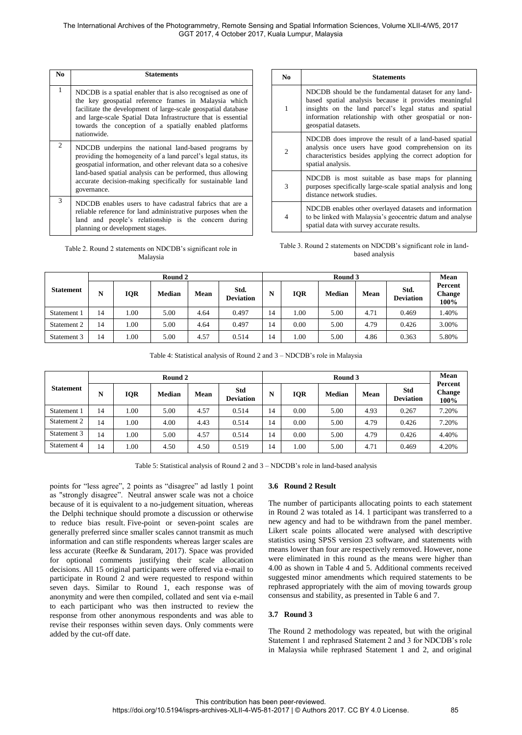| N <sub>0</sub> | <b>Statements</b>                                                                                                                                                                                                                                                                                                                  |
|----------------|------------------------------------------------------------------------------------------------------------------------------------------------------------------------------------------------------------------------------------------------------------------------------------------------------------------------------------|
| $\mathbf{1}$   | NDCDB is a spatial enabler that is also recognised as one of<br>the key geospatial reference frames in Malaysia which<br>facilitate the development of large-scale geospatial database<br>and large-scale Spatial Data Infrastructure that is essential<br>towards the conception of a spatially enabled platforms<br>nationwide.  |
| 2              | NDCDB underpins the national land-based programs by<br>providing the homogeneity of a land parcel's legal status, its<br>geospatial information, and other relevant data so a cohesive<br>land-based spatial analysis can be performed, thus allowing<br>accurate decision-making specifically for sustainable land<br>governance. |
| 3              | NDCDB enables users to have cadastral fabrics that are a<br>reliable reference for land administrative purposes when the<br>land and people's relationship is the concern during<br>planning or development stages.                                                                                                                |

| Table 2. Round 2 statements on NDCDB's significant role in |
|------------------------------------------------------------|
| Malaysia                                                   |

| No.            | <b>Statements</b>                                                                                                                                                                                                                                          |
|----------------|------------------------------------------------------------------------------------------------------------------------------------------------------------------------------------------------------------------------------------------------------------|
| 1              | NDCDB should be the fundamental dataset for any land-<br>based spatial analysis because it provides meaningful<br>insights on the land parcel's legal status and spatial<br>information relationship with other geospatial or non-<br>geospatial datasets. |
| $\overline{2}$ | NDCDB does improve the result of a land-based spatial<br>analysis once users have good comprehension on its<br>characteristics besides applying the correct adoption for<br>spatial analysis.                                                              |
| 3              | NDCDB is most suitable as base maps for planning<br>purposes specifically large-scale spatial analysis and long<br>distance network studies.                                                                                                               |
| $\overline{4}$ | NDCDB enables other overlayed datasets and information<br>to be linked with Malaysia's geocentric datum and analyse<br>spatial data with survey accurate results.                                                                                          |

Table 3. Round 2 statements on NDCDB's significant role in landbased analysis

|                  | Round 2 |      |               |      |                          |    | Mean       |               |      |                          |                           |
|------------------|---------|------|---------------|------|--------------------------|----|------------|---------------|------|--------------------------|---------------------------|
| <b>Statement</b> | N       | IQR  | <b>Median</b> | Mean | Std.<br><b>Deviation</b> | N  | <b>IQR</b> | <b>Median</b> | Mean | Std.<br><b>Deviation</b> | Percent<br>Change<br>100% |
| Statement 1      | 14      | .00. | 5.00          | 4.64 | 0.497                    | 14 | 1.00       | 5.00          | 4.71 | 0.469                    | .40%                      |
| Statement 2      | 14      | .00. | 5.00          | 4.64 | 0.497                    | 14 | 0.00       | 5.00          | 4.79 | 0.426                    | 3.00%                     |
| Statement 3      | 14      | 1.00 | 5.00          | 4.57 | 0.514                    | 14 | 1.00       | 5.00          | 4.86 | 0.363                    | 5.80%                     |

Table 4: Statistical analysis of Round 2 and 3 – NDCDB's role in Malaysia

|                  | Round 2 |            |               |      |                         | Round 3 |      |               |      |                         | Mean                             |
|------------------|---------|------------|---------------|------|-------------------------|---------|------|---------------|------|-------------------------|----------------------------------|
| <b>Statement</b> | N       | <b>IQR</b> | <b>Median</b> | Mean | Std<br><b>Deviation</b> | N       | IQR  | <b>Median</b> | Mean | Std<br><b>Deviation</b> | Percent<br><b>Change</b><br>100% |
| Statement 1      | 14      | 1.00       | 5.00          | 4.57 | 0.514                   | 14      | 0.00 | 5.00          | 4.93 | 0.267                   | 7.20%                            |
| Statement 2      | 14      | 1.00       | 4.00          | 4.43 | 0.514                   | 14      | 0.00 | 5.00          | 4.79 | 0.426                   | 7.20%                            |
| Statement 3      | 14      | 1.00       | 5.00          | 4.57 | 0.514                   | 14      | 0.00 | 5.00          | 4.79 | 0.426                   | 4.40%                            |
| Statement 4      | 14      | 1.00       | 4.50          | 4.50 | 0.519                   | 14      | 1.00 | 5.00          | 4.71 | 0.469                   | 4.20%                            |

Table 5: Statistical analysis of Round 2 and 3 – NDCDB's role in land-based analysis

points for "less agree", 2 points as "disagree" ad lastly 1 point as "strongly disagree". Neutral answer scale was not a choice because of it is equivalent to a no-judgement situation, whereas the Delphi technique should promote a discussion or otherwise to reduce bias result. Five-point or seven-point scales are generally preferred since smaller scales cannot transmit as much information and can stifle respondents whereas larger scales are less accurate (Reefke & Sundaram, 2017). Space was provided for optional comments justifying their scale allocation decisions. All 15 original participants were offered via e-mail to participate in Round 2 and were requested to respond within seven days. Similar to Round 1, each response was of anonymity and were then compiled, collated and sent via e-mail to each participant who was then instructed to review the response from other anonymous respondents and was able to revise their responses within seven days. Only comments were added by the cut-off date.

## **3.6 Round 2 Result**

The number of participants allocating points to each statement in Round 2 was totaled as 14. 1 participant was transferred to a new agency and had to be withdrawn from the panel member. Likert scale points allocated were analysed with descriptive statistics using SPSS version 23 software, and statements with means lower than four are respectively removed. However, none were eliminated in this round as the means were higher than 4.00 as shown in Table 4 and 5. Additional comments received suggested minor amendments which required statements to be rephrased appropriately with the aim of moving towards group consensus and stability, as presented in Table 6 and 7.

## **3.7 Round 3**

The Round 2 methodology was repeated, but with the original Statement 1 and rephrased Statement 2 and 3 for NDCDB's role in Malaysia while rephrased Statement 1 and 2, and original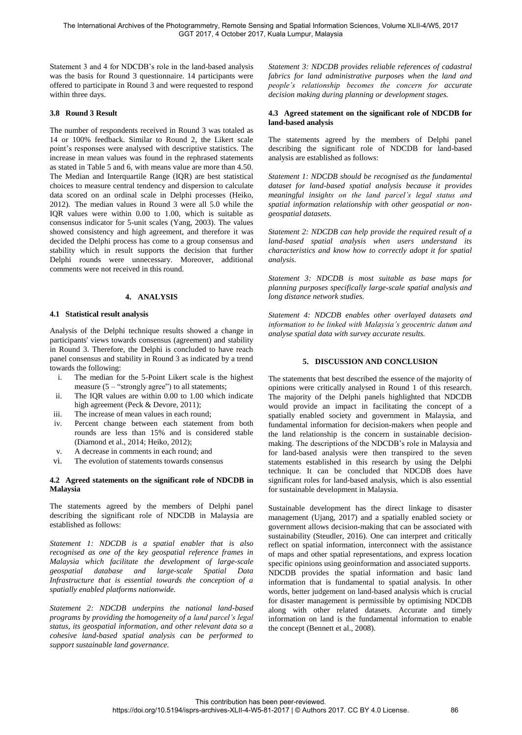Statement 3 and 4 for NDCDB's role in the land-based analysis was the basis for Round 3 questionnaire. 14 participants were offered to participate in Round 3 and were requested to respond within three days.

# **3.8 Round 3 Result**

The number of respondents received in Round 3 was totaled as 14 or 100% feedback. Similar to Round 2, the Likert scale point's responses were analysed with descriptive statistics. The increase in mean values was found in the rephrased statements as stated in Table 5 and 6, with means value are more than 4.50. The Median and Interquartile Range (IQR) are best statistical choices to measure central tendency and dispersion to calculate data scored on an ordinal scale in Delphi processes (Heiko, 2012). The median values in Round 3 were all 5.0 while the IQR values were within 0.00 to 1.00, which is suitable as consensus indicator for 5-unit scales (Yang, 2003). The values showed consistency and high agreement, and therefore it was decided the Delphi process has come to a group consensus and stability which in result supports the decision that further Delphi rounds were unnecessary. Moreover, additional comments were not received in this round.

## **4. ANALYSIS**

#### **4.1 Statistical result analysis**

Analysis of the Delphi technique results showed a change in participants' views towards consensus (agreement) and stability in Round 3. Therefore, the Delphi is concluded to have reach panel consensus and stability in Round 3 as indicated by a trend towards the following:

- i. The median for the 5-Point Likert scale is the highest measure  $(5 -$  "strongly agree") to all statements;
- ii. The IQR values are within 0.00 to 1.00 which indicate high agreement (Peck & Devore, 2011);
- iii. The increase of mean values in each round;
- iv. Percent change between each statement from both rounds are less than 15% and is considered stable (Diamond et al., 2014; Heiko, 2012);
- v. A decrease in comments in each round; and
- vi. The evolution of statements towards consensus

#### **4.2 Agreed statements on the significant role of NDCDB in Malaysia**

The statements agreed by the members of Delphi panel describing the significant role of NDCDB in Malaysia are established as follows:

*Statement 1: NDCDB is a spatial enabler that is also recognised as one of the key geospatial reference frames in Malaysia which facilitate the development of large-scale geospatial database and large-scale Spatial Data Infrastructure that is essential towards the conception of a spatially enabled platforms nationwide.* 

*Statement 2: NDCDB underpins the national land-based programs by providing the homogeneity of a land parcel's legal status, its geospatial information, and other relevant data so a cohesive land-based spatial analysis can be performed to support sustainable land governance.*

*Statement 3: NDCDB provides reliable references of cadastral fabrics for land administrative purposes when the land and people's relationship becomes the concern for accurate decision making during planning or development stages.* 

#### **4.3 Agreed statement on the significant role of NDCDB for land-based analysis**

The statements agreed by the members of Delphi panel describing the significant role of NDCDB for land-based analysis are established as follows:

*Statement 1: NDCDB should be recognised as the fundamental dataset for land-based spatial analysis because it provides meaningful insights on the land parcel's legal status and spatial information relationship with other geospatial or nongeospatial datasets.* 

*Statement 2: NDCDB can help provide the required result of a land-based spatial analysis when users understand its characteristics and know how to correctly adopt it for spatial analysis.* 

*Statement 3: NDCDB is most suitable as base maps for planning purposes specifically large-scale spatial analysis and long distance network studies.* 

*Statement 4: NDCDB enables other overlayed datasets and information to be linked with Malaysia's geocentric datum and analyse spatial data with survey accurate results.* 

#### **5. DISCUSSION AND CONCLUSION**

The statements that best described the essence of the majority of opinions were critically analysed in Round 1 of this research. The majority of the Delphi panels highlighted that NDCDB would provide an impact in facilitating the concept of a spatially enabled society and government in Malaysia, and fundamental information for decision-makers when people and the land relationship is the concern in sustainable decisionmaking. The descriptions of the NDCDB's role in Malaysia and for land-based analysis were then transpired to the seven statements established in this research by using the Delphi technique. It can be concluded that NDCDB does have significant roles for land-based analysis, which is also essential for sustainable development in Malaysia.

Sustainable development has the direct linkage to disaster management (Ujang, 2017) and a spatially enabled society or government allows decision-making that can be associated with sustainability (Steudler, 2016). One can interpret and critically reflect on spatial information, interconnect with the assistance of maps and other spatial representations, and express location specific opinions using geoinformation and associated supports. NDCDB provides the spatial information and basic land information that is fundamental to spatial analysis. In other words, better judgement on land-based analysis which is crucial for disaster management is permissible by optimising NDCDB along with other related datasets. Accurate and timely information on land is the fundamental information to enable the concept (Bennett et al., 2008).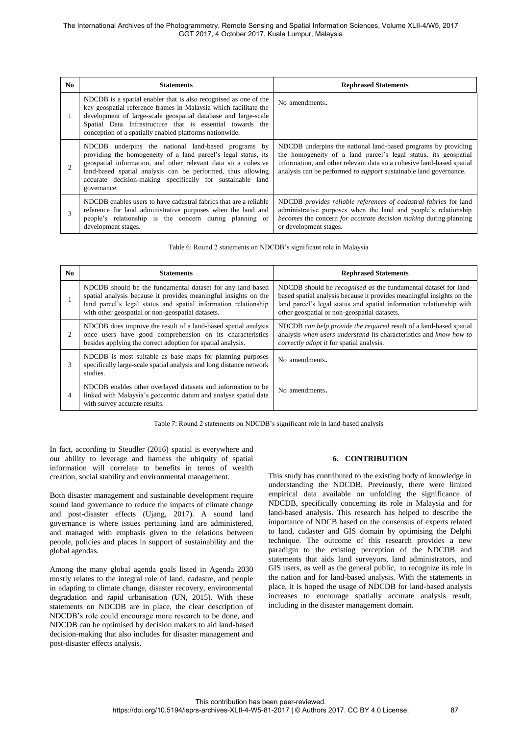| N <sub>0</sub> | <b>Statements</b>                                                                                                                                                                                                                                                                                                                  | <b>Rephrased Statements</b>                                                                                                                                                                                                                                                    |
|----------------|------------------------------------------------------------------------------------------------------------------------------------------------------------------------------------------------------------------------------------------------------------------------------------------------------------------------------------|--------------------------------------------------------------------------------------------------------------------------------------------------------------------------------------------------------------------------------------------------------------------------------|
|                | NDCDB is a spatial enabler that is also recognised as one of the<br>key geospatial reference frames in Malaysia which facilitate the<br>development of large-scale geospatial database and large-scale<br>Spatial Data Infrastructure that is essential towards the<br>conception of a spatially enabled platforms nationwide.     | No amendments.                                                                                                                                                                                                                                                                 |
|                | NDCDB underpins the national land-based programs by<br>providing the homogeneity of a land parcel's legal status, its<br>geospatial information, and other relevant data so a cohesive<br>land-based spatial analysis can be performed, thus allowing<br>accurate decision-making specifically for sustainable land<br>governance. | NDCDB underpins the national land-based programs by providing<br>the homogeneity of a land parcel's legal status, its geospatial<br>information, and other relevant data so a cohesive land-based spatial<br>analysis can be performed to support sustainable land governance. |
| 3              | NDCDB enables users to have cadastral fabrics that are a reliable<br>reference for land administrative purposes when the land and<br>people's relationship is the concern during planning or<br>development stages.                                                                                                                | NDCDB provides reliable references of cadastral fabrics for land<br>administrative purposes when the land and people's relationship<br>becomes the concern for accurate decision making during planning<br>or development stages.                                              |

| Table 6: Round 2 statements on NDCDB's significant role in Malaysia |  |
|---------------------------------------------------------------------|--|
|                                                                     |  |

| N <sub>0</sub> | <b>Statements</b>                                                                                                                                                                                                                                     | <b>Rephrased Statements</b>                                                                                                                                                                                                                                      |
|----------------|-------------------------------------------------------------------------------------------------------------------------------------------------------------------------------------------------------------------------------------------------------|------------------------------------------------------------------------------------------------------------------------------------------------------------------------------------------------------------------------------------------------------------------|
|                | NDCDB should be the fundamental dataset for any land-based<br>spatial analysis because it provides meaningful insights on the<br>land parcel's legal status and spatial information relationship<br>with other geospatial or non-geospatial datasets. | NDCDB should be recognised as the fundamental dataset for land-<br>based spatial analysis because it provides meaningful insights on the<br>land parcel's legal status and spatial information relationship with<br>other geospatial or non-geospatial datasets. |
| 2              | NDCDB does improve the result of a land-based spatial analysis<br>once users have good comprehension on its characteristics<br>besides applying the correct adoption for spatial analysis.                                                            | NDCDB can help provide the required result of a land-based spatial<br>analysis when users understand its characteristics and know how to<br><i>correctly adopt it</i> for spatial analysis.                                                                      |
| 3              | NDCDB is most suitable as base maps for planning purposes<br>specifically large-scale spatial analysis and long distance network<br>studies.                                                                                                          | No amendments.                                                                                                                                                                                                                                                   |
| 4              | NDCDB enables other overlayed datasets and information to be<br>linked with Malaysia's geocentric datum and analyse spatial data<br>with survey accurate results.                                                                                     | No amendments.                                                                                                                                                                                                                                                   |

Table 7: Round 2 statements on NDCDB's significant role in land-based analysis

In fact, according to Steudler (2016) spatial is everywhere and our ability to leverage and harness the ubiquity of spatial information will correlate to benefits in terms of wealth creation, social stability and environmental management.

Both disaster management and sustainable development require sound land governance to reduce the impacts of climate change and post-disaster effects (Ujang, 2017). A sound land governance is where issues pertaining land are administered, and managed with emphasis given to the relations between people, policies and places in support of sustainability and the global agendas.

Among the many global agenda goals listed in Agenda 2030 mostly relates to the integral role of land, cadastre, and people in adapting to climate change, disaster recovery, environmental degradation and rapid urbanisation (UN, 2015). With these statements on NDCDB are in place, the clear description of NDCDB's role could encourage more research to be done, and NDCDB can be optimised by decision makers to aid land-based decision-making that also includes for disaster management and post-disaster effects analysis.

## **6. CONTRIBUTION**

This study has contributed to the existing body of knowledge in understanding the NDCDB. Previously, there were limited empirical data available on unfolding the significance of NDCDB, specifically concerning its role in Malaysia and for land-based analysis. This research has helped to describe the importance of NDCB based on the consensus of experts related to land, cadaster and GIS domain by optimising the Delphi technique. The outcome of this research provides a new paradigm to the existing perception of the NDCDB and statements that aids land surveyors, land administrators, and GIS users, as well as the general public, to recognize its role in the nation and for land-based analysis. With the statements in place, it is hoped the usage of NDCDB for land-based analysis increases to encourage spatially accurate analysis result, including in the disaster management domain.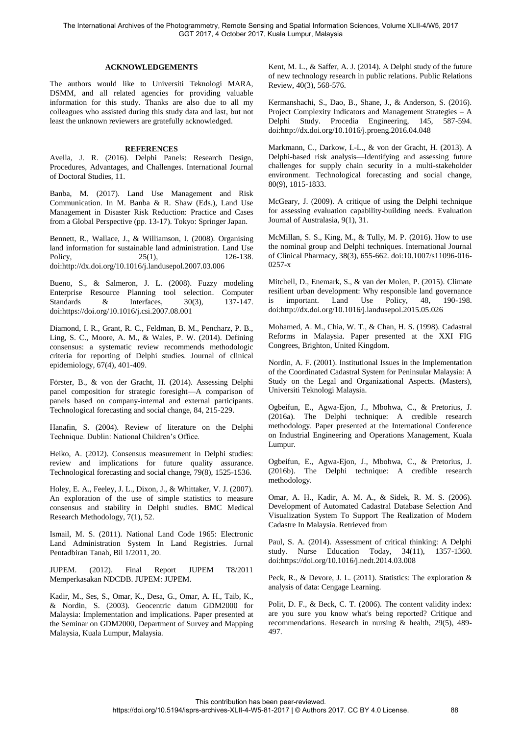#### **ACKNOWLEDGEMENTS**

The authors would like to Universiti Teknologi MARA, DSMM, and all related agencies for providing valuable information for this study. Thanks are also due to all my colleagues who assisted during this study data and last, but not least the unknown reviewers are gratefully acknowledged.

## **REFERENCES**

Avella, J. R. (2016). Delphi Panels: Research Design, Procedures, Advantages, and Challenges. International Journal of Doctoral Studies, 11.

Banba, M. (2017). Land Use Management and Risk Communication. In M. Banba & R. Shaw (Eds.), Land Use Management in Disaster Risk Reduction: Practice and Cases from a Global Perspective (pp. 13-17). Tokyo: Springer Japan.

Bennett, R., Wallace, J., & Williamson, I. (2008). Organising land information for sustainable land administration. Land Use Policy, 25(1), 25(1), 25(1), 25(1), 25(1), 25(1), 25(1), 25(1), 25(1), 25(1), 25(1), 25(1), 25(2), 25(2), 25(2), 25(2), 25(2), 25(2), 25(2), 25(2), 25(2), 25(2), 25(2), 25(2), 25(2), 25(2), 25(2), 25(2), 25(2), 25(2), 25(2 doi[:http://dx.doi.org/10.1016/j.landusepol.2007.03.006](http://dx.doi.org/10.1016/j.landusepol.2007.03.006)

Bueno, S., & Salmeron, J. L. (2008). Fuzzy modeling Enterprise Resource Planning tool selection. Computer Standards & Interfaces, 30(3), 137-147. doi[:https://doi.org/10.1016/j.csi.2007.08.001](https://doi.org/10.1016/j.csi.2007.08.001)

Diamond, I. R., Grant, R. C., Feldman, B. M., Pencharz, P. B., Ling, S. C., Moore, A. M., & Wales, P. W. (2014). Defining consensus: a systematic review recommends methodologic criteria for reporting of Delphi studies. Journal of clinical epidemiology, 67(4), 401-409.

Förster, B., & von der Gracht, H. (2014). Assessing Delphi panel composition for strategic foresight—A comparison of panels based on company-internal and external participants. Technological forecasting and social change, 84, 215-229.

Hanafin, S. (2004). Review of literature on the Delphi Technique. Dublin: National Children's Office.

Heiko, A. (2012). Consensus measurement in Delphi studies: review and implications for future quality assurance. Technological forecasting and social change, 79(8), 1525-1536.

Holey, E. A., Feeley, J. L., Dixon, J., & Whittaker, V. J. (2007). An exploration of the use of simple statistics to measure consensus and stability in Delphi studies. BMC Medical Research Methodology, 7(1), 52.

Ismail, M. S. (2011). National Land Code 1965: Electronic Land Administration System In Land Registries. Jurnal Pentadbiran Tanah, Bil 1/2011, 20.

JUPEM. (2012). Final Report JUPEM T8/2011 Memperkasakan NDCDB. JUPEM: JUPEM.

Kadir, M., Ses, S., Omar, K., Desa, G., Omar, A. H., Taib, K., & Nordin, S. (2003). Geocentric datum GDM2000 for Malaysia: Implementation and implications. Paper presented at the Seminar on GDM2000, Department of Survey and Mapping Malaysia, Kuala Lumpur, Malaysia.

Kent, M. L., & Saffer, A. J. (2014). A Delphi study of the future of new technology research in public relations. Public Relations Review, 40(3), 568-576.

Kermanshachi, S., Dao, B., Shane, J., & Anderson, S. (2016). Project Complexity Indicators and Management Strategies – A Delphi Study. Procedia Engineering, 145, 587-594. doi[:http://dx.doi.org/10.1016/j.proeng.2016.04.048](http://dx.doi.org/10.1016/j.proeng.2016.04.048)

Markmann, C., Darkow, I.-L., & von der Gracht, H. (2013). A Delphi-based risk analysis—Identifying and assessing future challenges for supply chain security in a multi-stakeholder environment. Technological forecasting and social change, 80(9), 1815-1833.

McGeary, J. (2009). A critique of using the Delphi technique for assessing evaluation capability-building needs. Evaluation Journal of Australasia, 9(1), 31.

McMillan, S. S., King, M., & Tully, M. P. (2016). How to use the nominal group and Delphi techniques. International Journal of Clinical Pharmacy, 38(3), 655-662. doi:10.1007/s11096-016- 0257-x

Mitchell, D., Enemark, S., & van der Molen, P. (2015). Climate resilient urban development: Why responsible land governance is important. Land Use Policy, 48, 190-198. doi[:http://dx.doi.org/10.1016/j.landusepol.2015.05.026](http://dx.doi.org/10.1016/j.landusepol.2015.05.026)

Mohamed, A. M., Chia, W. T., & Chan, H. S. (1998). Cadastral Reforms in Malaysia. Paper presented at the XXI FIG Congrees, Brighton, United Kingdom.

Nordin, A. F. (2001). Institutional Issues in the Implementation of the Coordinated Cadastral System for Peninsular Malaysia: A Study on the Legal and Organizational Aspects. (Masters), Universiti Teknologi Malaysia.

Ogbeifun, E., Agwa-Ejon, J., Mbohwa, C., & Pretorius, J. (2016a). The Delphi technique: A credible research methodology. Paper presented at the International Conference on Industrial Engineering and Operations Management, Kuala Lumpur.

Ogbeifun, E., Agwa-Ejon, J., Mbohwa, C., & Pretorius, J. (2016b). The Delphi technique: A credible research methodology.

Omar, A. H., Kadir, A. M. A., & Sidek, R. M. S. (2006). Development of Automated Cadastral Database Selection And Visualization System To Support The Realization of Modern Cadastre In Malaysia. Retrieved from

Paul, S. A. (2014). Assessment of critical thinking: A Delphi study. Nurse Education Today, 34(11), 1357-1360. doi[:https://doi.org/10.1016/j.nedt.2014.03.008](https://doi.org/10.1016/j.nedt.2014.03.008)

Peck, R., & Devore, J. L. (2011). Statistics: The exploration & analysis of data: Cengage Learning.

Polit, D. F., & Beck, C. T. (2006). The content validity index: are you sure you know what's being reported? Critique and recommendations. Research in nursing & health, 29(5), 489- 497.